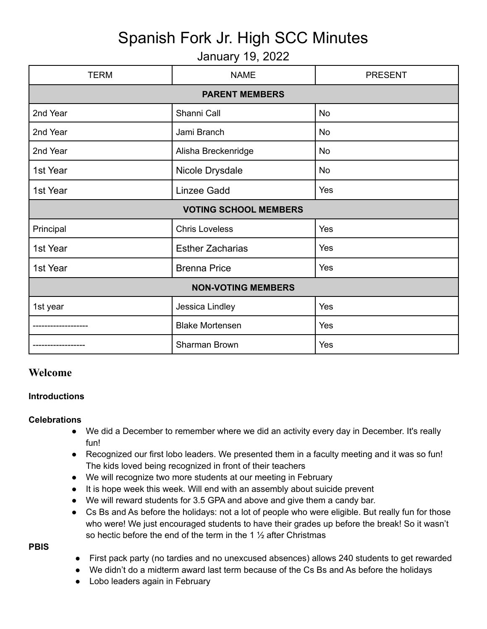# Spanish Fork Jr. High SCC Minutes

## January 19, 2022

| <b>TERM</b>                  | <b>NAME</b>             | <b>PRESENT</b> |
|------------------------------|-------------------------|----------------|
| <b>PARENT MEMBERS</b>        |                         |                |
| 2nd Year                     | Shanni Call             | <b>No</b>      |
| 2nd Year                     | Jami Branch             | No             |
| 2nd Year                     | Alisha Breckenridge     | No             |
| 1st Year                     | Nicole Drysdale         | No             |
| 1st Year                     | Linzee Gadd             | Yes            |
| <b>VOTING SCHOOL MEMBERS</b> |                         |                |
| Principal                    | <b>Chris Loveless</b>   | Yes            |
| 1st Year                     | <b>Esther Zacharias</b> | Yes            |
| 1st Year                     | <b>Brenna Price</b>     | Yes            |
| <b>NON-VOTING MEMBERS</b>    |                         |                |
| 1st year                     | Jessica Lindley         | Yes            |
|                              | <b>Blake Mortensen</b>  | Yes            |
|                              | <b>Sharman Brown</b>    | Yes            |

## **Welcome**

#### **Introductions**

#### **Celebrations**

- We did a December to remember where we did an activity every day in December. It's really fun!
- Recognized our first lobo leaders. We presented them in a faculty meeting and it was so fun! The kids loved being recognized in front of their teachers
- We will recognize two more students at our meeting in February
- It is hope week this week. Will end with an assembly about suicide prevent
- We will reward students for 3.5 GPA and above and give them a candy bar.
- Cs Bs and As before the holidays: not a lot of people who were eligible. But really fun for those who were! We just encouraged students to have their grades up before the break! So it wasn't so hectic before the end of the term in the 1  $\frac{1}{2}$  after Christmas

#### **PBIS**

- First pack party (no tardies and no unexcused absences) allows 240 students to get rewarded
- We didn't do a midterm award last term because of the Cs Bs and As before the holidays
- Lobo leaders again in February